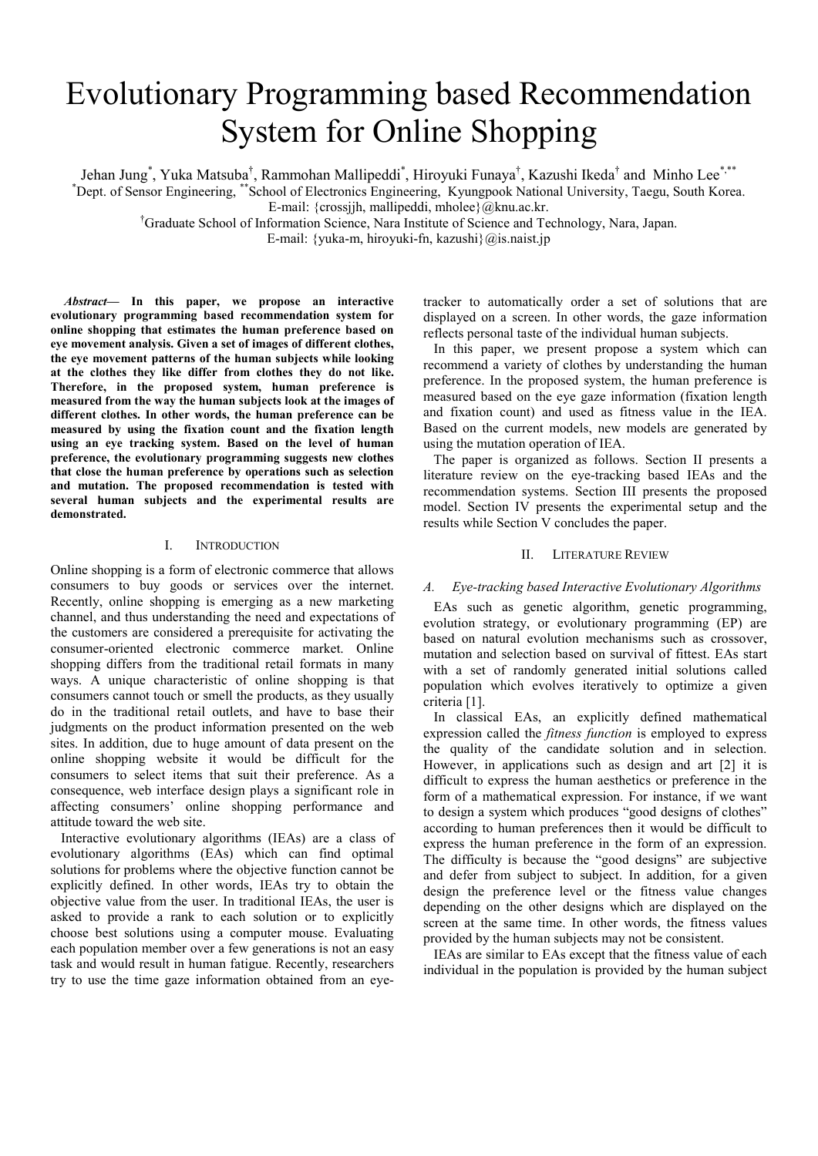# Evolutionary Programming based Recommendation System for Online Shopping

Jehan Jung<sup>\*</sup>, Yuka Matsuba<sup>†</sup>, Rammohan Mallipeddi<sup>\*</sup>, Hiroyuki Funaya<sup>†</sup>, Kazushi Ikeda<sup>†</sup> and Minho Lee<sup>\*,\*\*</sup>

\* Dept. of Sensor Engineering, \*\*School of Electronics Engineering, Kyungpook National University, Taegu, South Korea.

E-mail: {crossjjh, mallipeddi, mholee}@knu.ac.kr.

† Graduate School of Information Science, Nara Institute of Science and Technology, Nara, Japan.

E-mail: {yuka-m, hiroyuki-fn, kazushi}@is.naist.jp

*Abstract***— In this paper, we propose an interactive evolutionary programming based recommendation system for online shopping that estimates the human preference based on eye movement analysis. Given a set of images of different clothes, the eye movement patterns of the human subjects while looking at the clothes they like differ from clothes they do not like. Therefore, in the proposed system, human preference is measured from the way the human subjects look at the images of different clothes. In other words, the human preference can be measured by using the fixation count and the fixation length using an eye tracking system. Based on the level of human preference, the evolutionary programming suggests new clothes that close the human preference by operations such as selection and mutation. The proposed recommendation is tested with several human subjects and the experimental results are demonstrated.** 

## I. INTRODUCTION

Online shopping is a form of electronic commerce that allows consumers to buy goods or services over the internet. Recently, online shopping is emerging as a new marketing channel, and thus understanding the need and expectations of the customers are considered a prerequisite for activating the consumer-oriented electronic commerce market. Online shopping differs from the traditional retail formats in many ways. A unique characteristic of online shopping is that consumers cannot touch or smell the products, as they usually do in the traditional retail outlets, and have to base their judgments on the product information presented on the web sites. In addition, due to huge amount of data present on the online shopping website it would be difficult for the consumers to select items that suit their preference. As a consequence, web interface design plays a significant role in affecting consumers' online shopping performance and attitude toward the web site.

 Interactive evolutionary algorithms (IEAs) are a class of evolutionary algorithms (EAs) which can find optimal solutions for problems where the objective function cannot be explicitly defined. In other words, IEAs try to obtain the objective value from the user. In traditional IEAs, the user is asked to provide a rank to each solution or to explicitly choose best solutions using a computer mouse. Evaluating each population member over a few generations is not an easy task and would result in human fatigue. Recently, researchers try to use the time gaze information obtained from an eyetracker to automatically order a set of solutions that are displayed on a screen. In other words, the gaze information reflects personal taste of the individual human subjects.

 In this paper, we present propose a system which can recommend a variety of clothes by understanding the human preference. In the proposed system, the human preference is measured based on the eye gaze information (fixation length and fixation count) and used as fitness value in the IEA. Based on the current models, new models are generated by using the mutation operation of IEA.

 The paper is organized as follows. Section II presents a literature review on the eye-tracking based IEAs and the recommendation systems. Section III presents the proposed model. Section IV presents the experimental setup and the results while Section V concludes the paper.

# II. LITERATURE REVIEW

## *A. Eye-tracking based Interactive Evolutionary Algorithms*

 EAs such as genetic algorithm, genetic programming, evolution strategy, or evolutionary programming (EP) are based on natural evolution mechanisms such as crossover, mutation and selection based on survival of fittest. EAs start with a set of randomly generated initial solutions called population which evolves iteratively to optimize a given criteria [1].

 In classical EAs, an explicitly defined mathematical expression called the *fitness function* is employed to express the quality of the candidate solution and in selection. However, in applications such as design and art [2] it is difficult to express the human aesthetics or preference in the form of a mathematical expression. For instance, if we want to design a system which produces "good designs of clothes" according to human preferences then it would be difficult to express the human preference in the form of an expression. The difficulty is because the "good designs" are subjective and defer from subject to subject. In addition, for a given design the preference level or the fitness value changes depending on the other designs which are displayed on the screen at the same time. In other words, the fitness values provided by the human subjects may not be consistent.

 IEAs are similar to EAs except that the fitness value of each individual in the population is provided by the human subject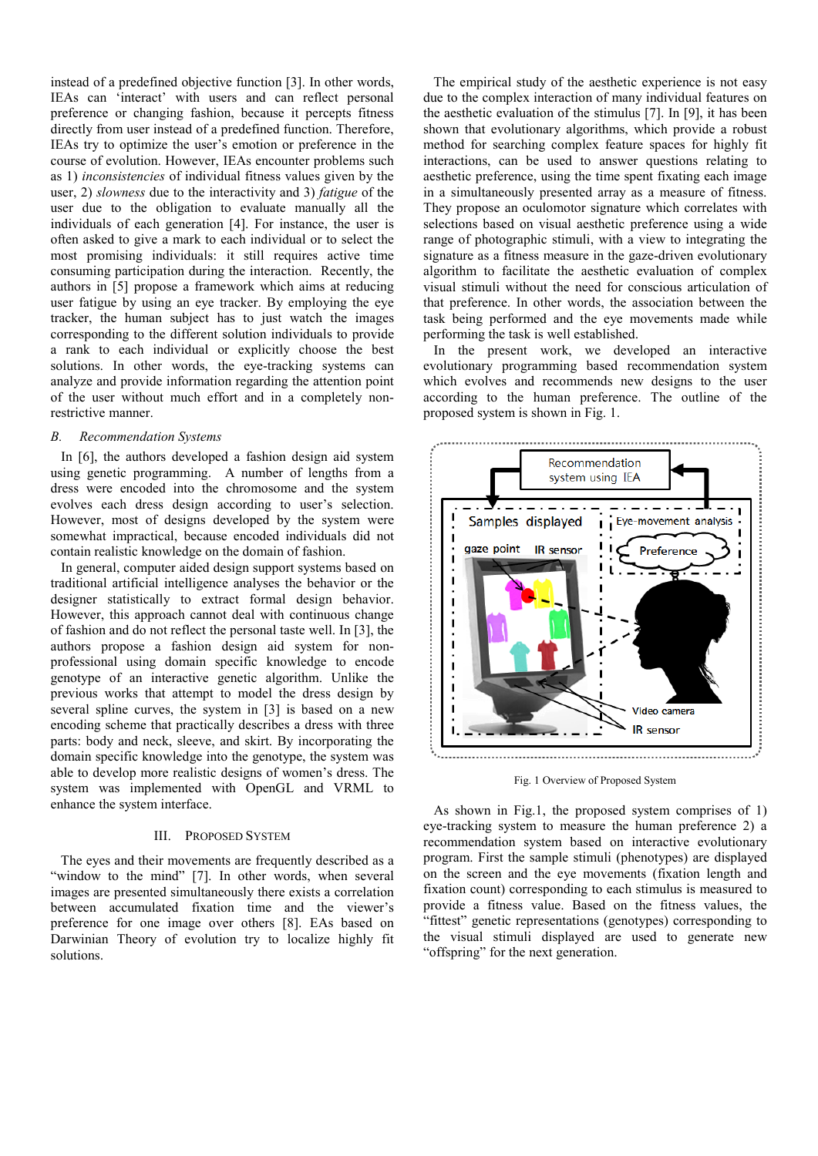instead of a predefined objective function [3]. In other words, IEAs can 'interact' with users and can reflect personal preference or changing fashion, because it percepts fitness directly from user instead of a predefined function. Therefore, IEAs try to optimize the user's emotion or preference in the course of evolution. However, IEAs encounter problems such as 1) *inconsistencies* of individual fitness values given by the user, 2) *slowness* due to the interactivity and 3) *fatigue* of the user due to the obligation to evaluate manually all the individuals of each generation [4]. For instance, the user is often asked to give a mark to each individual or to select the most promising individuals: it still requires active time consuming participation during the interaction. Recently, the authors in [5] propose a framework which aims at reducing user fatigue by using an eye tracker. By employing the eye tracker, the human subject has to just watch the images corresponding to the different solution individuals to provide a rank to each individual or explicitly choose the best solutions. In other words, the eye-tracking systems can analyze and provide information regarding the attention point of the user without much effort and in a completely nonrestrictive manner.

#### *B. Recommendation Systems*

 In [6], the authors developed a fashion design aid system using genetic programming. A number of lengths from a dress were encoded into the chromosome and the system evolves each dress design according to user's selection. However, most of designs developed by the system were somewhat impractical, because encoded individuals did not contain realistic knowledge on the domain of fashion.

 In general, computer aided design support systems based on traditional artificial intelligence analyses the behavior or the designer statistically to extract formal design behavior. However, this approach cannot deal with continuous change of fashion and do not reflect the personal taste well. In [3], the authors propose a fashion design aid system for nonprofessional using domain specific knowledge to encode genotype of an interactive genetic algorithm. Unlike the previous works that attempt to model the dress design by several spline curves, the system in [3] is based on a new encoding scheme that practically describes a dress with three parts: body and neck, sleeve, and skirt. By incorporating the domain specific knowledge into the genotype, the system was able to develop more realistic designs of women's dress. The system was implemented with OpenGL and VRML to enhance the system interface.

# III. PROPOSED SYSTEM

 The eyes and their movements are frequently described as a "window to the mind" [7]. In other words, when several images are presented simultaneously there exists a correlation between accumulated fixation time and the viewer's preference for one image over others [8]. EAs based on Darwinian Theory of evolution try to localize highly fit solutions.

 The empirical study of the aesthetic experience is not easy due to the complex interaction of many individual features on the aesthetic evaluation of the stimulus [7]. In [9], it has been shown that evolutionary algorithms, which provide a robust method for searching complex feature spaces for highly fit interactions, can be used to answer questions relating to aesthetic preference, using the time spent fixating each image in a simultaneously presented array as a measure of fitness. They propose an oculomotor signature which correlates with selections based on visual aesthetic preference using a wide range of photographic stimuli, with a view to integrating the signature as a fitness measure in the gaze-driven evolutionary algorithm to facilitate the aesthetic evaluation of complex visual stimuli without the need for conscious articulation of that preference. In other words, the association between the task being performed and the eye movements made while performing the task is well established.

 In the present work, we developed an interactive evolutionary programming based recommendation system which evolves and recommends new designs to the user according to the human preference. The outline of the proposed system is shown in Fig. 1.



Fig. 1 Overview of Proposed System

 As shown in Fig.1, the proposed system comprises of 1) eye-tracking system to measure the human preference 2) a recommendation system based on interactive evolutionary program. First the sample stimuli (phenotypes) are displayed on the screen and the eye movements (fixation length and fixation count) corresponding to each stimulus is measured to provide a fitness value. Based on the fitness values, the "fittest" genetic representations (genotypes) corresponding to the visual stimuli displayed are used to generate new "offspring" for the next generation.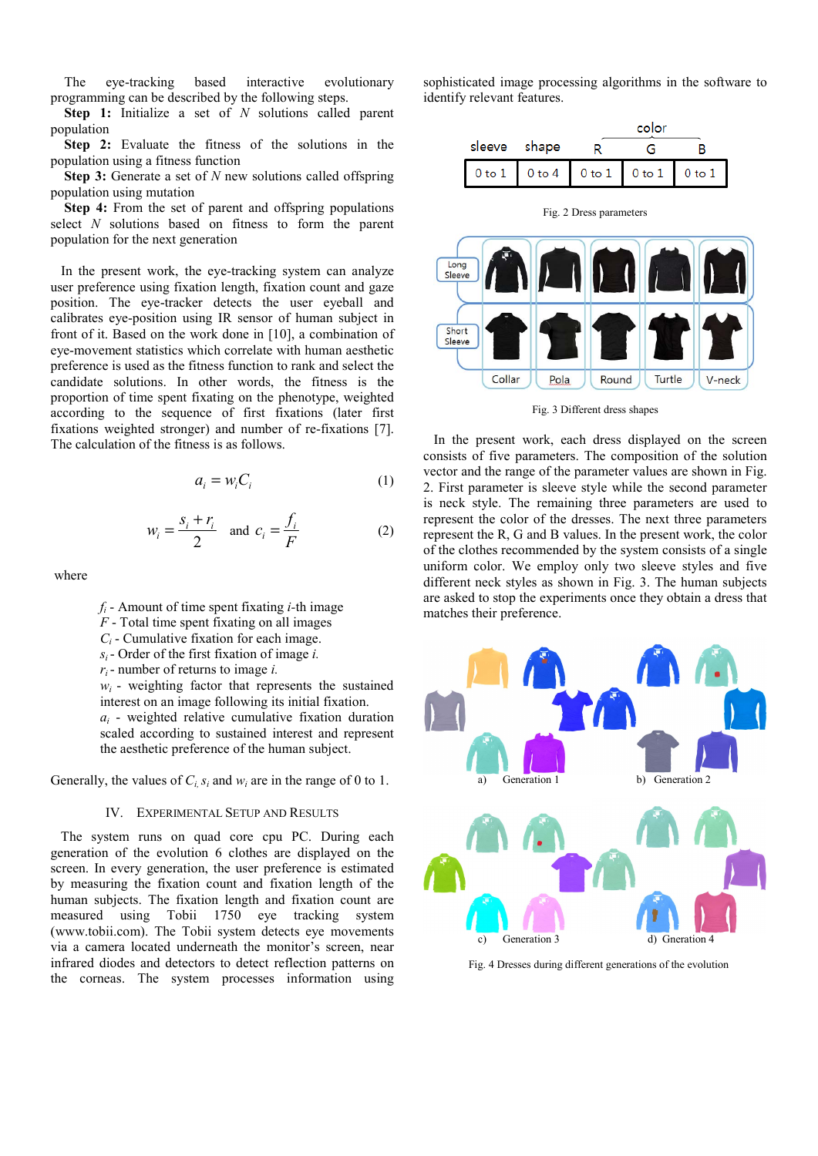The eye-tracking based interactive evolutionary programming can be described by the following steps.

**Step 1:** Initialize a set of *N* solutions called parent population

**Step 2:** Evaluate the fitness of the solutions in the population using a fitness function

**Step 3:** Generate a set of *N* new solutions called offspring population using mutation

**Step 4:** From the set of parent and offspring populations select *N* solutions based on fitness to form the parent population for the next generation

 In the present work, the eye-tracking system can analyze user preference using fixation length, fixation count and gaze position. The eye-tracker detects the user eyeball and calibrates eye-position using IR sensor of human subject in front of it. Based on the work done in [10], a combination of eye-movement statistics which correlate with human aesthetic preference is used as the fitness function to rank and select the candidate solutions. In other words, the fitness is the proportion of time spent fixating on the phenotype, weighted according to the sequence of first fixations (later first fixations weighted stronger) and number of re-fixations [7]. The calculation of the fitness is as follows.

$$
a_i = w_i C_i \tag{1}
$$

$$
W_i = \frac{S_i + r_i}{2} \quad \text{and} \quad C_i = \frac{f_i}{F}
$$
 (2)

where



- $F$  Total time spent fixating on all images
- *Ci* Cumulative fixation for each image.
- *si*  Order of the first fixation of image *i.*
- *ri*  number of returns to image *i.*

 $w_i$  - weighting factor that represents the sustained interest on an image following its initial fixation. *ai* - weighted relative cumulative fixation duration scaled according to sustained interest and represent the aesthetic preference of the human subject.

Generally, the values of  $C_i$   $s_i$  and  $w_i$  are in the range of 0 to 1.

#### IV. EXPERIMENTAL SETUP AND RESULTS

 The system runs on quad core cpu PC. During each generation of the evolution 6 clothes are displayed on the screen. In every generation, the user preference is estimated by measuring the fixation count and fixation length of the human subjects. The fixation length and fixation count are measured using Tobii 1750 eye tracking system (www.tobii.com). The Tobii system detects eye movements via a camera located underneath the monitor's screen, near infrared diodes and detectors to detect reflection patterns on the corneas. The system processes information using

sophisticated image processing algorithms in the software to identify relevant features.



Fig. 2 Dress parameters



Fig. 3 Different dress shapes

 In the present work, each dress displayed on the screen consists of five parameters. The composition of the solution vector and the range of the parameter values are shown in Fig. 2. First parameter is sleeve style while the second parameter is neck style. The remaining three parameters are used to represent the color of the dresses. The next three parameters represent the R, G and B values. In the present work, the color of the clothes recommended by the system consists of a single uniform color. We employ only two sleeve styles and five different neck styles as shown in Fig. 3. The human subjects are asked to stop the experiments once they obtain a dress that matches their preference.



Fig. 4 Dresses during different generations of the evolution